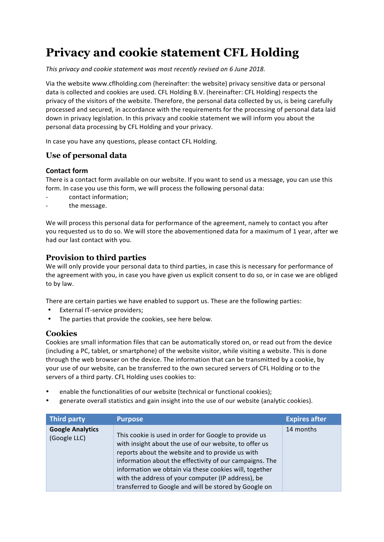# **Privacy and cookie statement CFL Holding**

This privacy and cookie statement was most recently revised on 6 June 2018.

Via the website www.cflholding.com (hereinafter: the website) privacy sensitive data or personal data is collected and cookies are used. CFL Holding B.V. (hereinafter: CFL Holding) respects the privacy of the visitors of the website. Therefore, the personal data collected by us, is being carefully processed and secured, in accordance with the requirements for the processing of personal data laid down in privacy legislation. In this privacy and cookie statement we will inform you about the personal data processing by CFL Holding and your privacy.

In case you have any questions, please contact CFL Holding.

# **Use of personal data**

#### **Contact form**

There is a contact form available on our website. If you want to send us a message, you can use this form. In case you use this form, we will process the following personal data:

- contact information;
- the message.

We will process this personal data for performance of the agreement, namely to contact you after you requested us to do so. We will store the abovementioned data for a maximum of 1 year, after we had our last contact with you.

## **Provision to third parties**

We will only provide your personal data to third parties, in case this is necessary for performance of the agreement with you, in case you have given us explicit consent to do so, or in case we are obliged to by law.

There are certain parties we have enabled to support us. These are the following parties:

- **External IT-service providers:**
- The parties that provide the cookies, see here below.

## **Cookies**

Cookies are small information files that can be automatically stored on, or read out from the device (including a PC, tablet, or smartphone) of the website visitor, while visiting a website. This is done through the web browser on the device. The information that can be transmitted by a cookie, by your use of our website, can be transferred to the own secured servers of CFL Holding or to the servers of a third party. CFL Holding uses cookies to:

- enable the functionalities of our website (technical or functional cookies);
- generate overall statistics and gain insight into the use of our website (analytic cookies).

| <b>Third party</b>                      | <b>Purpose</b>                                                                                                                                                                                                                                                                                                                                                                                          | <b>Expires after</b> |
|-----------------------------------------|---------------------------------------------------------------------------------------------------------------------------------------------------------------------------------------------------------------------------------------------------------------------------------------------------------------------------------------------------------------------------------------------------------|----------------------|
| <b>Google Analytics</b><br>(Google LLC) | This cookie is used in order for Google to provide us<br>with insight about the use of our website, to offer us<br>reports about the website and to provide us with<br>information about the effectivity of our campaigns. The<br>information we obtain via these cookies will, together<br>with the address of your computer (IP address), be<br>transferred to Google and will be stored by Google on | 14 months            |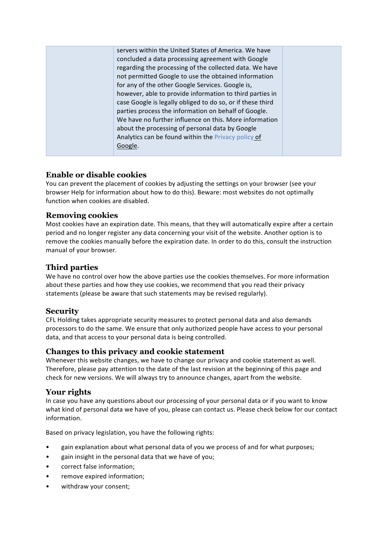| servers within the United States of America. We have       |  |
|------------------------------------------------------------|--|
| concluded a data processing agreement with Google          |  |
| regarding the processing of the collected data. We have    |  |
| not permitted Google to use the obtained information       |  |
| for any of the other Google Services. Google is,           |  |
| however, able to provide information to third parties in   |  |
| case Google is legally obliged to do so, or if these third |  |
| parties process the information on behalf of Google.       |  |
| We have no further influence on this. More information     |  |
| about the processing of personal data by Google            |  |
| Analytics can be found within the Privacy policy of        |  |
| Google.                                                    |  |
|                                                            |  |

# **Enable or disable cookies**

You can prevent the placement of cookies by adjusting the settings on your browser (see your browser Help for information about how to do this). Beware: most websites do not optimally function when cookies are disabled.

## **Removing cookies**

Most cookies have an expiration date. This means, that they will automatically expire after a certain period and no longer register any data concerning your visit of the website. Another option is to remove the cookies manually before the expiration date. In order to do this, consult the instruction manual of your browser.

# **Third parties**

We have no control over how the above parties use the cookies themselves. For more information about these parties and how they use cookies, we recommend that you read their privacy statements (please be aware that such statements may be revised regularly).

## **Security**

CFL Holding takes appropriate security measures to protect personal data and also demands processors to do the same. We ensure that only authorized people have access to your personal data, and that access to your personal data is being controlled.

## **Changes to this privacy and cookie statement**

Whenever this website changes, we have to change our privacy and cookie statement as well. Therefore, please pay attention to the date of the last revision at the beginning of this page and check for new versions. We will always try to announce changes, apart from the website.

## **Your rights**

In case you have any questions about our processing of your personal data or if you want to know what kind of personal data we have of you, please can contact us. Please check below for our contact information.

Based on privacy legislation, you have the following rights:

- gain explanation about what personal data of you we process of and for what purposes;
- gain insight in the personal data that we have of you;
- correct false information;
- remove expired information;
- withdraw your consent: